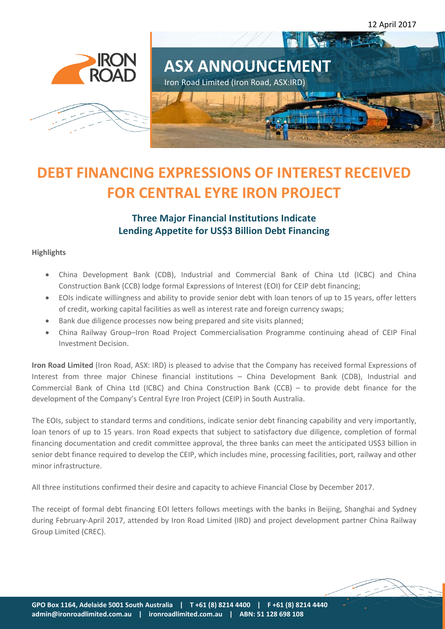12 April 2017







# **DEBT FINANCING EXPRESSIONS OF INTEREST RECEIVED FOR CENTRAL EYRE IRON PROJECT**

### **Three Major Financial Institutions Indicate Lending Appetite for US\$3 Billion Debt Financing**

#### **Highlights**

- China Development Bank (CDB), Industrial and Commercial Bank of China Ltd (ICBC) and China Construction Bank (CCB) lodge formal Expressions of Interest (EOI) for CEIP debt financing;
- EOIs indicate willingness and ability to provide senior debt with loan tenors of up to 15 years, offer letters of credit, working capital facilities as well as interest rate and foreign currency swaps;
- Bank due diligence processes now being prepared and site visits planned;
- China Railway Group–Iron Road Project Commercialisation Programme continuing ahead of CEIP Final Investment Decision.

**Iron Road Limited** (Iron Road, ASX: IRD) is pleased to advise that the Company has received formal Expressions of Interest from three major Chinese financial institutions – China Development Bank (CDB), Industrial and Commercial Bank of China Ltd (ICBC) and China Construction Bank (CCB) – to provide debt finance for the development of the Company's Central Eyre Iron Project (CEIP) in South Australia.

The EOIs, subject to standard terms and conditions, indicate senior debt financing capability and very importantly, loan tenors of up to 15 years. Iron Road expects that subject to satisfactory due diligence, completion of formal financing documentation and credit committee approval, the three banks can meet the anticipated US\$3 billion in senior debt finance required to develop the CEIP, which includes mine, processing facilities, port, railway and other minor infrastructure.

All three institutions confirmed their desire and capacity to achieve Financial Close by December 2017.

The receipt of formal debt financing EOI letters follows meetings with the banks in Beijing, Shanghai and Sydney during February-April 2017, attended by Iron Road Limited (IRD) and project development partner China Railway Group Limited (CREC).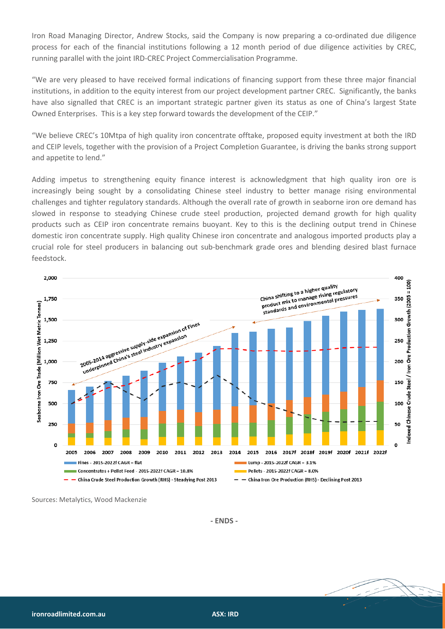Iron Road Managing Director, Andrew Stocks, said the Company is now preparing a co-ordinated due diligence process for each of the financial institutions following a 12 month period of due diligence activities by CREC, running parallel with the joint IRD-CREC Project Commercialisation Programme.

"We are very pleased to have received formal indications of financing support from these three major financial institutions, in addition to the equity interest from our project development partner CREC. Significantly, the banks have also signalled that CREC is an important strategic partner given its status as one of China's largest State Owned Enterprises. This is a key step forward towards the development of the CEIP."

"We believe CREC's 10Mtpa of high quality iron concentrate offtake, proposed equity investment at both the IRD and CEIP levels, together with the provision of a Project Completion Guarantee, is driving the banks strong support and appetite to lend."

Adding impetus to strengthening equity finance interest is acknowledgment that high quality iron ore is increasingly being sought by a consolidating Chinese steel industry to better manage rising environmental challenges and tighter regulatory standards. Although the overall rate of growth in seaborne iron ore demand has slowed in response to steadying Chinese crude steel production, projected demand growth for high quality products such as CEIP iron concentrate remains buoyant. Key to this is the declining output trend in Chinese domestic iron concentrate supply. High quality Chinese iron concentrate and analogous imported products play a crucial role for steel producers in balancing out sub-benchmark grade ores and blending desired blast furnace feedstock.



Sources: Metalytics, Wood Mackenzie

**- ENDS -**